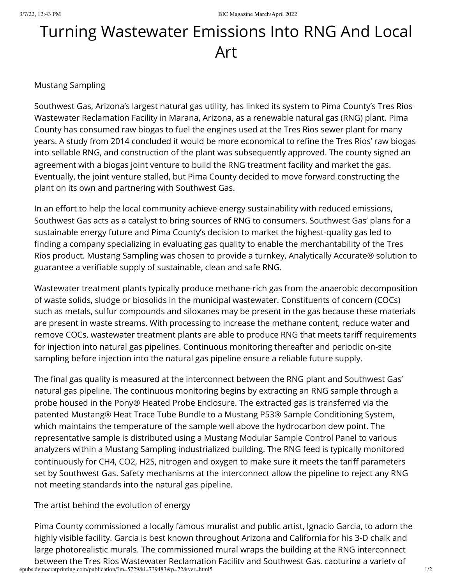## Turning Wastewater Emissions Into RNG And Local Art

## Mustang Sampling

Southwest Gas, Arizona's largest natural gas utility, has linked its system to Pima County's Tres Rios Wastewater Reclamation Facility in Marana, Arizona, as a renewable natural gas (RNG) plant. Pima County has consumed raw biogas to fuel the engines used at the Tres Rios sewer plant for many years. A study from 2014 concluded it would be more economical to refine the Tres Rios' raw biogas into sellable RNG, and construction of the plant was subsequently approved. The county signed an agreement with a biogas joint venture to build the RNG treatment facility and market the gas. Eventually, the joint venture stalled, but Pima County decided to move forward constructing the plant on its own and partnering with Southwest Gas.

In an effort to help the local community achieve energy sustainability with reduced emissions, Southwest Gas acts as a catalyst to bring sources of RNG to consumers. Southwest Gas' plans for a sustainable energy future and Pima County's decision to market the highest-quality gas led to finding a company specializing in evaluating gas quality to enable the merchantability of the Tres Rios product. Mustang Sampling was chosen to provide a turnkey, Analytically Accurate® solution to guarantee a verifiable supply of sustainable, clean and safe RNG.

Wastewater treatment plants typically produce methane-rich gas from the anaerobic decomposition of waste solids, sludge or biosolids in the municipal wastewater. Constituents of concern (COCs) such as metals, sulfur compounds and siloxanes may be present in the gas because these materials are present in waste streams. With processing to increase the methane content, reduce water and remove COCs, wastewater treatment plants are able to produce RNG that meets tariff requirements for injection into natural gas pipelines. Continuous monitoring thereafter and periodic on-site sampling before injection into the natural gas pipeline ensure a reliable future supply.

The final gas quality is measured at the interconnect between the RNG plant and Southwest Gas' natural gas pipeline. The continuous monitoring begins by extracting an RNG sample through a probe housed in the Pony® Heated Probe Enclosure. The extracted gas is transferred via the patented Mustang® Heat Trace Tube Bundle to a Mustang P53® Sample Conditioning System, which maintains the temperature of the sample well above the hydrocarbon dew point. The representative sample is distributed using a Mustang Modular Sample Control Panel to various analyzers within a Mustang Sampling industrialized building. The RNG feed is typically monitored continuously for CH4, CO2, H2S, nitrogen and oxygen to make sure it meets the tariff parameters set by Southwest Gas. Safety mechanisms at the interconnect allow the pipeline to reject any RNG not meeting standards into the natural gas pipeline.

The artist behind the evolution of energy

epubs.democratprinting.com/publication/?m=5729&i=739483&p=72&ver=html5 1/2 Pima County commissioned a locally famous muralist and public artist, Ignacio Garcia, to adorn the highly visible facility. Garcia is best known throughout Arizona and California for his 3-D chalk and large photorealistic murals. The commissioned mural wraps the building at the RNG interconnect between the Tres Rios Wastewater Reclamation Facility and Southwest Gas, capturing a variety of